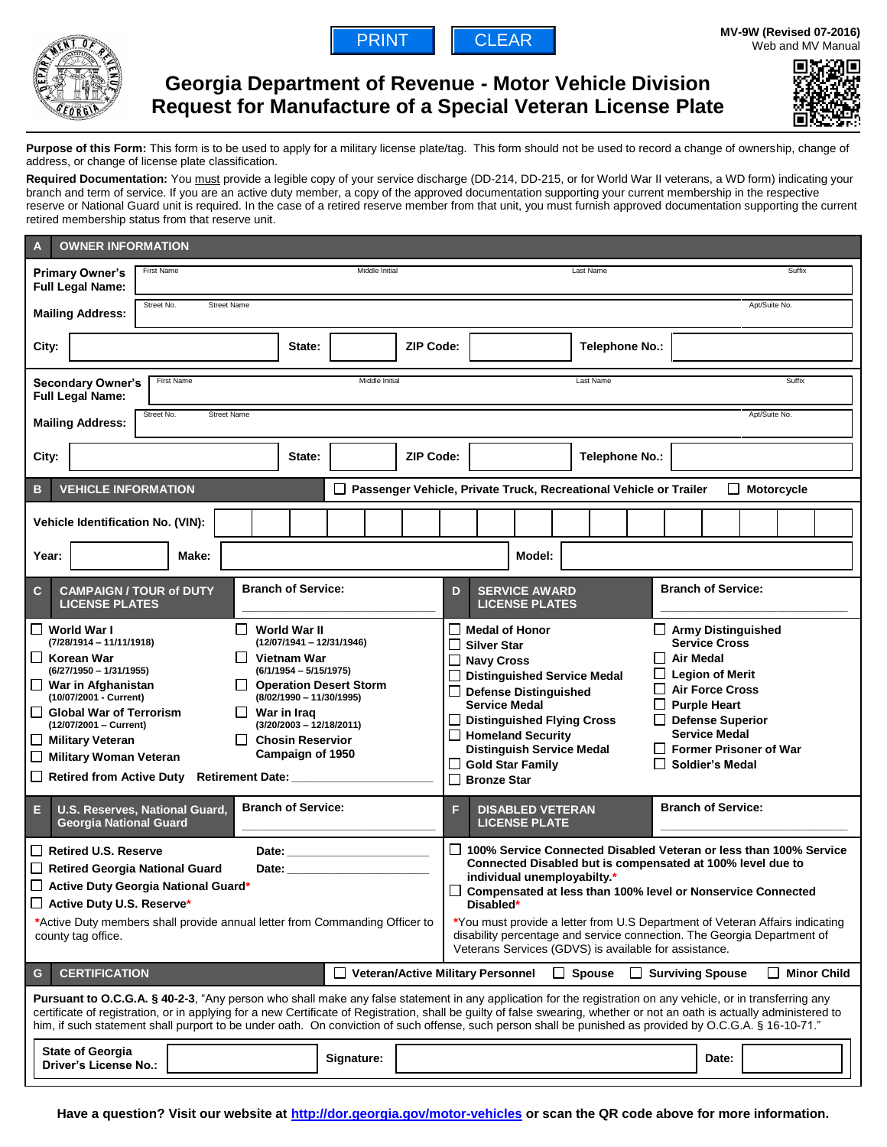



# **Georgia Department of Revenue - Motor Vehicle Division Request for Manufacture of a Special Veteran License Plate**



Purpose of this Form: This form is to be used to apply for a military license plate/tag. This form should not be used to record a change of ownership, change of address, or change of license plate classification.

Required Documentation: You must provide a legible copy of your service discharge (DD-214, DD-215, or for World War II veterans, a WD form) indicating your branch and term of service. If you are an active duty member, a copy of the approved documentation supporting your current membership in the respective reserve or National Guard unit is required. In the case of a retired reserve member from that unit, you must furnish approved documentation supporting the current retired membership status from that reserve unit.

| <b>OWNER INFORMATION</b><br>A                                                                                                                                                                                                                                                                                                                                                                                                                                                                                                                                                                                                                                                                                                                                                                                                                                                                                                                                                           |                                                                                                                                                                                                   |                                                                                                                                                                                                                                                                                                                                                                |                                                                                                                                                                                                                                                                    |
|-----------------------------------------------------------------------------------------------------------------------------------------------------------------------------------------------------------------------------------------------------------------------------------------------------------------------------------------------------------------------------------------------------------------------------------------------------------------------------------------------------------------------------------------------------------------------------------------------------------------------------------------------------------------------------------------------------------------------------------------------------------------------------------------------------------------------------------------------------------------------------------------------------------------------------------------------------------------------------------------|---------------------------------------------------------------------------------------------------------------------------------------------------------------------------------------------------|----------------------------------------------------------------------------------------------------------------------------------------------------------------------------------------------------------------------------------------------------------------------------------------------------------------------------------------------------------------|--------------------------------------------------------------------------------------------------------------------------------------------------------------------------------------------------------------------------------------------------------------------|
| First Name<br><b>Primary Owner's</b><br><b>Full Legal Name:</b>                                                                                                                                                                                                                                                                                                                                                                                                                                                                                                                                                                                                                                                                                                                                                                                                                                                                                                                         | Middle Initial                                                                                                                                                                                    | Last Name                                                                                                                                                                                                                                                                                                                                                      | Suffix                                                                                                                                                                                                                                                             |
| Street No.<br><b>Street Name</b><br>Apt/Suite No.<br><b>Mailing Address:</b>                                                                                                                                                                                                                                                                                                                                                                                                                                                                                                                                                                                                                                                                                                                                                                                                                                                                                                            |                                                                                                                                                                                                   |                                                                                                                                                                                                                                                                                                                                                                |                                                                                                                                                                                                                                                                    |
| City:                                                                                                                                                                                                                                                                                                                                                                                                                                                                                                                                                                                                                                                                                                                                                                                                                                                                                                                                                                                   | <b>ZIP Code:</b><br>State:                                                                                                                                                                        | Telephone No.:                                                                                                                                                                                                                                                                                                                                                 |                                                                                                                                                                                                                                                                    |
| Suffix<br><b>First Name</b><br>Middle Initial<br>Last Name<br><b>Secondary Owner's</b><br><b>Full Legal Name:</b>                                                                                                                                                                                                                                                                                                                                                                                                                                                                                                                                                                                                                                                                                                                                                                                                                                                                       |                                                                                                                                                                                                   |                                                                                                                                                                                                                                                                                                                                                                |                                                                                                                                                                                                                                                                    |
| Street No.<br><b>Street Name</b><br>Apt/Suite No.<br><b>Mailing Address:</b>                                                                                                                                                                                                                                                                                                                                                                                                                                                                                                                                                                                                                                                                                                                                                                                                                                                                                                            |                                                                                                                                                                                                   |                                                                                                                                                                                                                                                                                                                                                                |                                                                                                                                                                                                                                                                    |
| City:                                                                                                                                                                                                                                                                                                                                                                                                                                                                                                                                                                                                                                                                                                                                                                                                                                                                                                                                                                                   | <b>ZIP Code:</b><br>State:                                                                                                                                                                        | <b>Telephone No.:</b>                                                                                                                                                                                                                                                                                                                                          |                                                                                                                                                                                                                                                                    |
| <b>VEHICLE INFORMATION</b><br>□ Passenger Vehicle, Private Truck, Recreational Vehicle or Trailer<br>Motorcycle<br>B<br>$\mathsf{L}$                                                                                                                                                                                                                                                                                                                                                                                                                                                                                                                                                                                                                                                                                                                                                                                                                                                    |                                                                                                                                                                                                   |                                                                                                                                                                                                                                                                                                                                                                |                                                                                                                                                                                                                                                                    |
| Vehicle Identification No. (VIN):                                                                                                                                                                                                                                                                                                                                                                                                                                                                                                                                                                                                                                                                                                                                                                                                                                                                                                                                                       |                                                                                                                                                                                                   |                                                                                                                                                                                                                                                                                                                                                                |                                                                                                                                                                                                                                                                    |
| Year:<br>Make:                                                                                                                                                                                                                                                                                                                                                                                                                                                                                                                                                                                                                                                                                                                                                                                                                                                                                                                                                                          |                                                                                                                                                                                                   | Model:                                                                                                                                                                                                                                                                                                                                                         |                                                                                                                                                                                                                                                                    |
| <b>Branch of Service:</b><br>$\mathbf{C}$<br><b>CAMPAIGN / TOUR of DUTY</b><br><b>LICENSE PLATES</b>                                                                                                                                                                                                                                                                                                                                                                                                                                                                                                                                                                                                                                                                                                                                                                                                                                                                                    |                                                                                                                                                                                                   | <b>SERVICE AWARD</b><br>D<br><b>LICENSE PLATES</b>                                                                                                                                                                                                                                                                                                             | <b>Branch of Service:</b>                                                                                                                                                                                                                                          |
| $\Box$ World War I<br>World War II<br>$(7/28/1914 - 11/11/1918)$<br><b>□ Korean War</b><br><b>Vietnam War</b><br>$(6/27/1950 - 1/31/1955)$<br>$\Box$ War in Afghanistan<br>(10/07/2001 - Current)<br>Global War of Terrorism<br>$\Box$ War in Iraq<br>(12/07/2001 - Current)<br>П<br>$\Box$ Military Veteran<br><b>Military Woman Veteran</b><br>$\Box$<br>Retirement Date: ___________<br>$\Box$ Retired from Active Duty                                                                                                                                                                                                                                                                                                                                                                                                                                                                                                                                                              | $(12/07/1941 - 12/31/1946)$<br>$(6/1/1954 - 5/15/1975)$<br><b>Operation Desert Storm</b><br>(8/02/1990 - 11/30/1995)<br>$(3/20/2003 - 12/18/2011)$<br><b>Chosin Reservior</b><br>Campaign of 1950 | <b>Medal of Honor</b><br>$\mathsf{L}$<br><b>Silver Star</b><br>$\mathsf{L}$<br>$\Box$ Navy Cross<br><b>Distinguished Service Medal</b><br>⊔<br><b>Defense Distinguished</b><br><b>Service Medal</b><br>□ Distinguished Flying Cross<br>$\Box$ Homeland Security<br><b>Distinguish Service Medal</b><br><b>Gold Star Family</b><br>ப<br>П<br><b>Bronze Star</b> | $\Box$ Army Distinguished<br><b>Service Cross</b><br>∐ Air Medal<br><b>Legion of Merit</b><br><b>Air Force Cross</b><br>□<br><b>Purple Heart</b><br><b>Defense Superior</b><br>$\perp$<br><b>Service Medal</b><br><b>Former Prisoner of War</b><br>Soldier's Medal |
| <b>Branch of Service:</b><br>Е<br>U.S. Reserves, National Guard,<br><b>Georgia National Guard</b>                                                                                                                                                                                                                                                                                                                                                                                                                                                                                                                                                                                                                                                                                                                                                                                                                                                                                       |                                                                                                                                                                                                   | F<br><b>DISABLED VETERAN</b><br><b>LICENSE PLATE</b>                                                                                                                                                                                                                                                                                                           | <b>Branch of Service:</b>                                                                                                                                                                                                                                          |
| 100% Service Connected Disabled Veteran or less than 100% Service<br>$\Box$<br>Retired U.S. Reserve<br>Date: ______________________<br>Connected Disabled but is compensated at 100% level due to<br>  □ Retired Georgia National Guard<br>Date: the contract of the contract of the contract of the contract of the contract of the contract of the contract of the contract of the contract of the contract of the contract of the contract of the contract of the cont<br>individual unemployabilty.*<br>□ Active Duty Georgia National Guard*<br>□ Compensated at less than 100% level or Nonservice Connected<br>□ Active Duty U.S. Reserve*<br>Disabled*<br>*You must provide a letter from U.S Department of Veteran Affairs indicating<br>*Active Duty members shall provide annual letter from Commanding Officer to<br>disability percentage and service connection. The Georgia Department of<br>county tag office.<br>Veterans Services (GDVS) is available for assistance. |                                                                                                                                                                                                   |                                                                                                                                                                                                                                                                                                                                                                |                                                                                                                                                                                                                                                                    |
| <b>CERTIFICATION</b><br><b>Veteran/Active Military Personnel</b><br>$\Box$ Spouse<br>Surviving Spouse<br>$\Box$ Minor Child<br>G                                                                                                                                                                                                                                                                                                                                                                                                                                                                                                                                                                                                                                                                                                                                                                                                                                                        |                                                                                                                                                                                                   |                                                                                                                                                                                                                                                                                                                                                                |                                                                                                                                                                                                                                                                    |
| Pursuant to O.C.G.A. § 40-2-3, "Any person who shall make any false statement in any application for the registration on any vehicle, or in transferring any<br>certificate of registration, or in applying for a new Certificate of Registration, shall be guilty of false swearing, whether or not an oath is actually administered to<br>him, if such statement shall purport to be under oath. On conviction of such offense, such person shall be punished as provided by O.C.G.A. § 16-10-71."                                                                                                                                                                                                                                                                                                                                                                                                                                                                                    |                                                                                                                                                                                                   |                                                                                                                                                                                                                                                                                                                                                                |                                                                                                                                                                                                                                                                    |
| <b>State of Georgia</b><br>Driver's License No.:                                                                                                                                                                                                                                                                                                                                                                                                                                                                                                                                                                                                                                                                                                                                                                                                                                                                                                                                        | Signature:                                                                                                                                                                                        |                                                                                                                                                                                                                                                                                                                                                                | Date:                                                                                                                                                                                                                                                              |